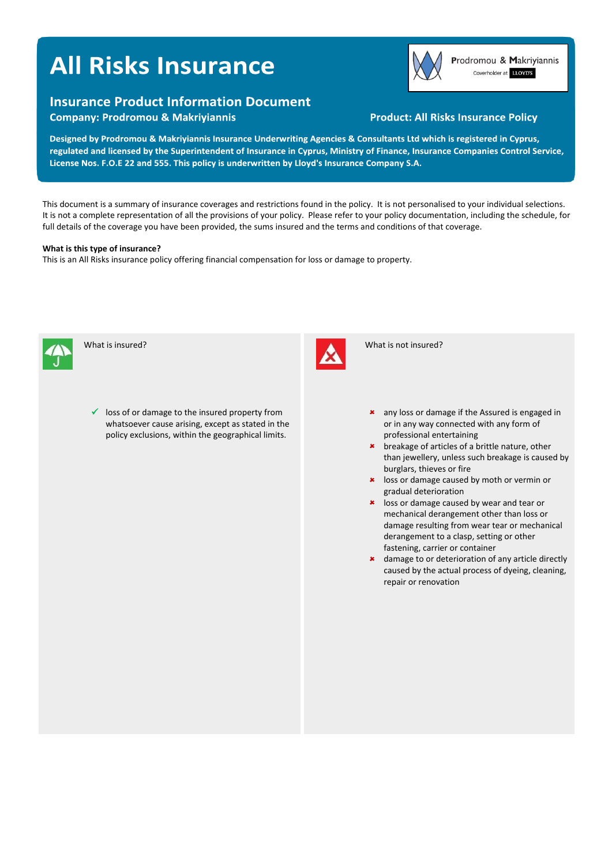# **All Risks Insurance**



Prodromou & Makriyiannis Coverholder at LLOYD'S

## **Insurance Product Information Document**

**Company: Prodromou & Makriyiannis** 

### **Product: All Risks Insurance Policy**

Designed by Prodromou & Makriyiannis Insurance Underwriting Agencies & Consultants Ltd which is registered in Cyprus, regulated and licensed by the Superintendent of Insurance in Cyprus, Ministry of Finance, Insurance Companies Control Service, License Nos. F.O.E 22 and 555. This policy is underwritten by Lloyd's Insurance Company S.A.

This document is a summary of insurance coverages and restrictions found in the policy. It is not personalised to your individual selections. It is not a complete representation of all the provisions of your policy. Please refer to your policy documentation, including the schedule, for full details of the coverage you have been provided, the sums insured and the terms and conditions of that coverage.

#### **What is this type of insurance?**

This is an All Risks insurance policy offering financial compensation for loss or damage to property.



What is insured?





What is not insured?

- any loss or damage if the Assured is engaged in or in any way connected with any form of professional entertaining
- \* breakage of articles of a brittle nature, other than jewellery, unless such breakage is caused by burglars, thieves or fire
- **\*** loss or damage caused by moth or vermin or gradual deterioration
- **\*** loss or damage caused by wear and tear or mechanical derangement other than loss or damage resulting from wear tear or mechanical derangement to a clasp, setting or other fastening, carrier or container
- \* damage to or deterioration of any article directly caused by the actual process of dyeing, cleaning, repair or renovation